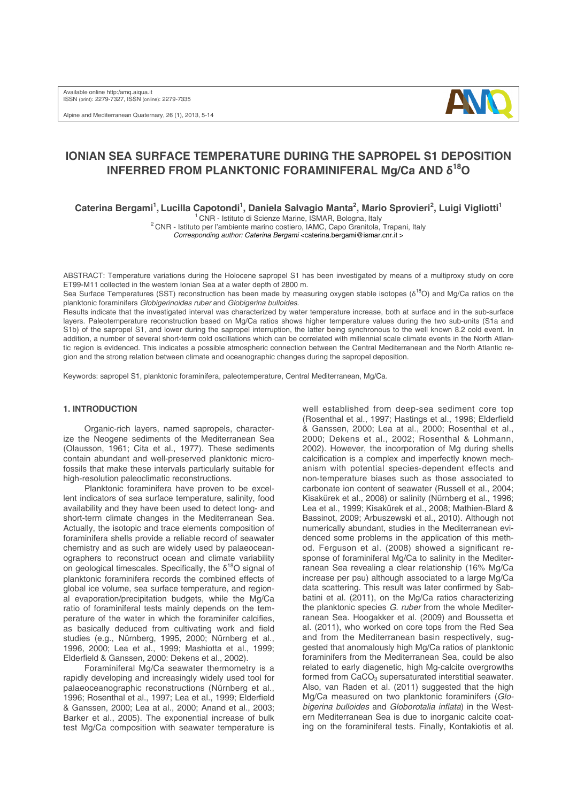Alpine and Mediterranean Quaternary, 26 (1), 2013, 5-14



# **IONIAN SEA SURFACE TEMPERATURE DURING THE SAPROPEL S1 DEPOSITION INFERRED FROM PLANKTONIC FORAMINIFERAL Mg/Ca AND δ18O**

Caterina Bergami<sup>1</sup>, Lucilla Capotondi<sup>1</sup>, Daniela Salvagio Manta<sup>2</sup>, Mario Sprovieri<sup>2</sup>, Luigi Vigliotti<sup>1</sup>

<sup>1</sup> CNR - Istituto di Scienze Marine, ISMAR, Bologna, Italy <sup>2</sup> CNR - Istituto per l'ambiente marino costiero, IAMC, Capo Granitola, Trapani, Italy

*Corresponding author: Caterina Bergami* <caterina.bergami@ismar.cnr.it >

ABSTRACT: Temperature variations during the Holocene sapropel S1 has been investigated by means of a multiproxy study on core ET99-M11 collected in the western Ionian Sea at a water depth of 2800 m.

Sea Surface Temperatures (SST) reconstruction has been made by measuring oxygen stable isotopes (δ<sup>18</sup>O) and Mg/Ca ratios on the planktonic foraminifers *Globigerinoides ruber* and *Globigerina bulloides*.

Results indicate that the investigated interval was characterized by water temperature increase, both at surface and in the sub-surface layers. Paleotemperature reconstruction based on Mg/Ca ratios shows higher temperature values during the two sub-units (S1a and S1b) of the sapropel S1, and lower during the sapropel interruption, the latter being synchronous to the well known 8.2 cold event. In addition, a number of several short-term cold oscillations which can be correlated with millennial scale climate events in the North Atlantic region is evidenced. This indicates a possible atmospheric connection between the Central Mediterranean and the North Atlantic region and the strong relation between climate and oceanographic changes during the sapropel deposition.

Keywords: sapropel S1, planktonic foraminifera, paleotemperature, Central Mediterranean, Mg/Ca.

## **1. INTRODUCTION**

Organic-rich layers, named sapropels, characterize the Neogene sediments of the Mediterranean Sea (Olausson, 1961; Cita et al., 1977). These sediments contain abundant and well-preserved planktonic microfossils that make these intervals particularly suitable for high-resolution paleoclimatic reconstructions.

Planktonic foraminifera have proven to be excellent indicators of sea surface temperature, salinity, food availability and they have been used to detect long- and short-term climate changes in the Mediterranean Sea. Actually, the isotopic and trace elements composition of foraminifera shells provide a reliable record of seawater chemistry and as such are widely used by palaeoceanographers to reconstruct ocean and climate variability on geological timescales. Specifically, the  $\delta^{18}O$  signal of planktonic foraminifera records the combined effects of global ice volume, sea surface temperature, and regional evaporation/precipitation budgets, while the Mg/Ca ratio of foraminiferal tests mainly depends on the temperature of the water in which the foraminifer calcifies, as basically deduced from cultivating work and field studies (e.g., Nürnberg, 1995, 2000; Nürnberg et al., 1996, 2000; Lea et al., 1999; Mashiotta et al., 1999; Elderfield & Ganssen, 2000: Dekens et al., 2002).

Foraminiferal Mg/Ca seawater thermometry is a rapidly developing and increasingly widely used tool for palaeoceanographic reconstructions (Nürnberg et al., 1996; Rosenthal et al., 1997; Lea et al., 1999; Elderfield & Ganssen, 2000; Lea at al., 2000; Anand et al., 2003; Barker et al., 2005). The exponential increase of bulk test Mg/Ca composition with seawater temperature is

well established from deep-sea sediment core top (Rosenthal et al., 1997; Hastings et al., 1998; Elderfield & Ganssen, 2000; Lea at al., 2000; Rosenthal et al., 2000; Dekens et al., 2002; Rosenthal & Lohmann, 2002). However, the incorporation of Mg during shells calcification is a complex and imperfectly known mechanism with potential species‐dependent effects and non‐temperature biases such as those associated to carbonate ion content of seawater (Russell et al., 2004; Kisakürek et al., 2008) or salinity (Nürnberg et al., 1996; Lea et al., 1999; Kisakürek et al., 2008; Mathien‐Blard & Bassinot, 2009; Arbuszewski et al., 2010). Although not numerically abundant, studies in the Mediterranean evidenced some problems in the application of this method. Ferguson et al. (2008) showed a significant response of foraminiferal Mg/Ca to salinity in the Mediterranean Sea revealing a clear relationship (16% Mg/Ca increase per psu) although associated to a large Mg/Ca data scattering. This result was later confirmed by Sabbatini et al. (2011), on the Mg/Ca ratios characterizing the planktonic species *G. ruber* from the whole Mediterranean Sea. Hoogakker et al. (2009) and Boussetta et al. (2011), who worked on core tops from the Red Sea and from the Mediterranean basin respectively, suggested that anomalously high Mg/Ca ratios of planktonic foraminifers from the Mediterranean Sea, could be also related to early diagenetic, high Mg‐calcite overgrowths formed from CaCO<sub>3</sub> supersaturated interstitial seawater. Also, van Raden et al. (2011) suggested that the high Mg/Ca measured on two planktonic foraminifers (*Globigerina bulloides* and *Globorotalia inflata*) in the Western Mediterranean Sea is due to inorganic calcite coating on the foraminiferal tests. Finally, Kontakiotis et al.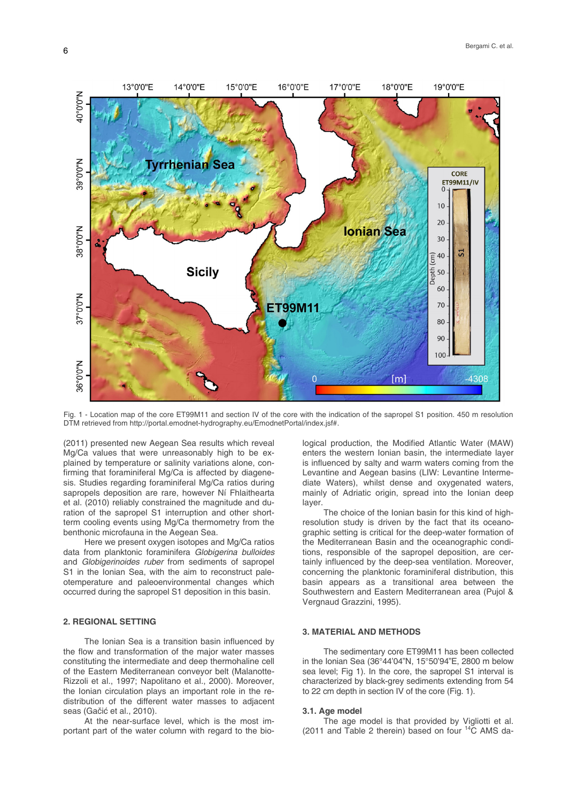

Fig. 1 - Location map of the core ET99M11 and section IV of the core with the indication of the sapropel S1 position. 450 m resolution DTM retrieved from http://portal.emodnet-hydrography.eu/EmodnetPortal/index.jsf#.

(2011) presented new Aegean Sea results which reveal Mg/Ca values that were unreasonably high to be explained by temperature or salinity variations alone, confirming that foraminiferal Mg/Ca is affected by diagenesis. Studies regarding foraminiferal Mg/Ca ratios during sapropels deposition are rare, however Ní Fhlaithearta et al. (2010) reliably constrained the magnitude and duration of the sapropel S1 interruption and other shortterm cooling events using Mg/Ca thermometry from the benthonic microfauna in the Aegean Sea.

Here we present oxygen isotopes and Mg/Ca ratios data from planktonic foraminifera *Globigerina bulloides* and *Globigerinoides ruber* from sediments of sapropel S1 in the Ionian Sea, with the aim to reconstruct paleotemperature and paleoenvironmental changes which occurred during the sapropel S1 deposition in this basin.

## **2. REGIONAL SETTING**

The Ionian Sea is a transition basin influenced by the flow and transformation of the major water masses constituting the intermediate and deep thermohaline cell of the Eastern Mediterranean conveyor belt (Malanotte-Rizzoli et al., 1997; Napolitano et al., 2000). Moreover, the Ionian circulation plays an important role in the redistribution of the different water masses to adjacent seas (Gačić et al., 2010).

At the near-surface level, which is the most important part of the water column with regard to the biological production, the Modified Atlantic Water (MAW) enters the western Ionian basin, the intermediate layer is influenced by salty and warm waters coming from the Levantine and Aegean basins (LIW: Levantine Intermediate Waters), whilst dense and oxygenated waters, mainly of Adriatic origin, spread into the Ionian deep layer.

The choice of the Ionian basin for this kind of highresolution study is driven by the fact that its oceanographic setting is critical for the deep-water formation of the Mediterranean Basin and the oceanographic conditions, responsible of the sapropel deposition, are certainly influenced by the deep-sea ventilation. Moreover, concerning the planktonic foraminiferal distribution, this basin appears as a transitional area between the Southwestern and Eastern Mediterranean area (Pujol & Vergnaud Grazzini, 1995).

## **3. MATERIAL AND METHODS**

The sedimentary core ET99M11 has been collected in the Ionian Sea (36°44'04"N, 15°50'94"E, 2800 m below sea level; Fig 1). In the core, the sapropel S1 interval is characterized by black-grey sediments extending from 54 to 22 cm depth in section IV of the core (Fig. 1).

#### **3.1. Age model**

The age model is that provided by Vigliotti et al. (2011 and Table 2 therein) based on four  $14\text{C}$  AMS da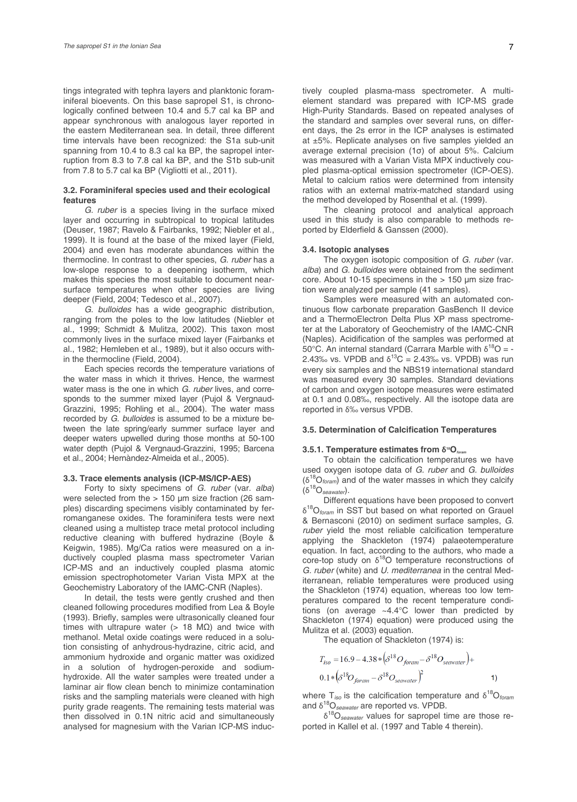tings integrated with tephra layers and planktonic foraminiferal bioevents. On this base sapropel S1, is chronologically confined between 10.4 and 5.7 cal ka BP and appear synchronous with analogous layer reported in the eastern Mediterranean sea. In detail, three different time intervals have been recognized: the S1a sub-unit spanning from 10.4 to 8.3 cal ka BP, the sapropel interruption from 8.3 to 7.8 cal ka BP, and the S1b sub-unit from 7.8 to 5.7 cal ka BP (Vigliotti et al., 2011).

## **3.2. Foraminiferal species used and their ecological features**

*G. ruber* is a species living in the surface mixed layer and occurring in subtropical to tropical latitudes (Deuser, 1987; Ravelo & Fairbanks, 1992; Niebler et al., 1999). It is found at the base of the mixed layer (Field, 2004) and even has moderate abundances within the thermocline. In contrast to other species, *G. ruber* has a low-slope response to a deepening isotherm, which makes this species the most suitable to document nearsurface temperatures when other species are living deeper (Field, 2004; Tedesco et al., 2007).

*G. bulloides* has a wide geographic distribution, ranging from the poles to the low latitudes (Niebler et al., 1999; Schmidt & Mulitza, 2002). This taxon most commonly lives in the surface mixed layer (Fairbanks et al., 1982; Hemleben et al., 1989), but it also occurs within the thermocline (Field, 2004).

Each species records the temperature variations of the water mass in which it thrives. Hence, the warmest water mass is the one in which *G. ruber* lives, and corresponds to the summer mixed layer (Pujol & Vergnaud-Grazzini, 1995; Rohling et al., 2004). The water mass recorded by *G. bulloides* is assumed to be a mixture between the late spring/early summer surface layer and deeper waters upwelled during those months at 50-100 water depth (Pujol & Vergnaud-Grazzini, 1995; Barcena et al., 2004; Hernàndez-Almeida et al., 2005).

#### **3.3. Trace elements analysis (ICP-MS/ICP-AES)**

Forty to sixty specimens of *G. ruber* (var. *alba*) were selected from the > 150 µm size fraction (26 samples) discarding specimens visibly contaminated by ferromanganese oxides. The foraminifera tests were next cleaned using a multistep trace metal protocol including reductive cleaning with buffered hydrazine (Boyle & Keigwin, 1985). Mg/Ca ratios were measured on a inductively coupled plasma mass spectrometer Varian ICP-MS and an inductively coupled plasma atomic emission spectrophotometer Varian Vista MPX at the Geochemistry Laboratory of the IAMC-CNR (Naples).

In detail, the tests were gently crushed and then cleaned following procedures modified from Lea & Boyle (1993). Briefly, samples were ultrasonically cleaned four times with ultrapure water (> 18 MΩ) and twice with methanol. Metal oxide coatings were reduced in a solution consisting of anhydrous-hydrazine, citric acid, and ammonium hydroxide and organic matter was oxidized in a solution of hydrogen-peroxide and sodiumhydroxide. All the water samples were treated under a laminar air flow clean bench to minimize contamination risks and the sampling materials were cleaned with high purity grade reagents. The remaining tests material was then dissolved in 0.1N nitric acid and simultaneously analysed for magnesium with the Varian ICP-MS inductively coupled plasma-mass spectrometer. A multielement standard was prepared with ICP-MS grade High-Purity Standards. Based on repeated analyses of the standard and samples over several runs, on different days, the 2s error in the ICP analyses is estimated at ±5%. Replicate analyses on five samples yielded an average external precision (1σ) of about 5%. Calcium was measured with a Varian Vista MPX inductively coupled plasma-optical emission spectrometer (ICP-OES). Metal to calcium ratios were determined from intensity ratios with an external matrix-matched standard using the method developed by Rosenthal et al. (1999).

The cleaning protocol and analytical approach used in this study is also comparable to methods reported by Elderfield & Ganssen (2000).

#### **3.4. Isotopic analyses**

The oxygen isotopic composition of *G. ruber* (var. *alba*) and *G. bulloides* were obtained from the sediment core. About 10-15 specimens in the > 150 µm size fraction were analyzed per sample (41 samples).

Samples were measured with an automated continuous flow carbonate preparation GasBench II device and a ThermoElectron Delta Plus XP mass spectrometer at the Laboratory of Geochemistry of the IAMC-CNR (Naples). Acidification of the samples was performed at 50°C. An internal standard (Carrara Marble with  $δ^{18}O = -$ 2.43‰ vs. VPDB and  $\delta^{13}$ C = 2.43‰ vs. VPDB) was run every six samples and the NBS19 international standard was measured every 30 samples. Standard deviations of carbon and oxygen isotope measures were estimated at 0.1 and 0.08‰, respectively. All the isotope data are reported in δ‰ versus VPDB.

#### **3.5. Determination of Calcification Temperatures**

## **3.5.1. Temperature estimates from δ18O***foram*

To obtain the calcification temperatures we have used oxygen isotope data of *G. ruber* and *G. bulloides*  (δ18O*foram*) and of the water masses in which they calcify (δ18O*seawater*).

Different equations have been proposed to convert δ18O*foram* in SST but based on what reported on Grauel & Bernasconi (2010) on sediment surface samples, *G. ruber* yield the most reliable calcification temperature applying the Shackleton (1974) palaeotemperature equation. In fact, according to the authors, who made a core-top study on  $\delta^{18}O$  temperature reconstructions of *G. ruber* (white) and *U. mediterranea* in the central Mediterranean, reliable temperatures were produced using the Shackleton (1974) equation, whereas too low temperatures compared to the recent temperature conditions (on average ~4.4°C lower than predicted by Shackleton (1974) equation) were produced using the Mulitza et al. (2003) equation.

The equation of Shackleton (1974) is:

$$
T_{iso} = 16.9 - 4.38 * (\delta^{18} O_{foram} - \delta^{18} O_{seawater}) +
$$
  
0.1 \* (\delta^{18} O\_{foram} - \delta^{18} O\_{seawater})<sup>2</sup>

where  $T_{iso}$  is the calcification temperature and  $\delta^{18}O_{form}$ and δ18O*seawater* are reported vs. VPDB.

δ18O*seawater* values for sapropel time are those reported in Kallel et al. (1997 and Table 4 therein).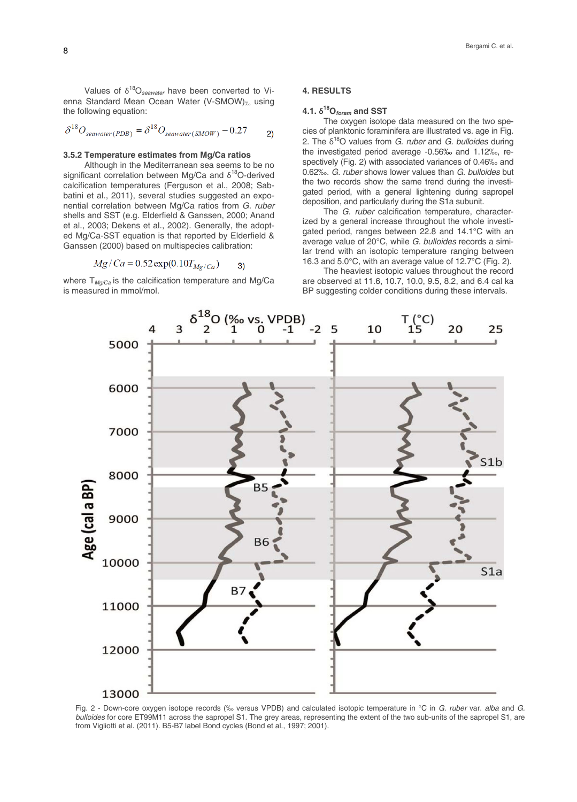Values of δ18O*seawater* have been converted to Vienna Standard Mean Ocean Water (V-SMOW)‰ using the following equation:

$$
\delta^{18}O_{\text{seawater}(PDB)} = \delta^{18}O_{\text{seawater}(SMOW)} - 0.27 \qquad \text{2)}
$$

#### **3.5.2 Temperature estimates from Mg/Ca ratios**

Although in the Mediterranean sea seems to be no significant correlation between Mg/Ca and  $\delta^{18}$ O-derived calcification temperatures (Ferguson et al., 2008; Sabbatini et al., 2011), several studies suggested an exponential correlation between Mg/Ca ratios from *G. ruber* shells and SST (e.g. Elderfield & Ganssen, 2000; Anand et al., 2003; Dekens et al., 2002). Generally, the adopted Mg/Ca-SST equation is that reported by Elderfield & Ganssen (2000) based on multispecies calibration:

$$
Mg/Ca = 0.52 \exp(0.10T_{Mg/Ca})
$$
 3)

where T<sub>Mq/Ca</sub> is the calcification temperature and Mg/Ca is measured in mmol/mol.

#### **4. RESULTS**

# **4.1. δ18O***foram* **and SST**

The oxygen isotope data measured on the two species of planktonic foraminifera are illustrated vs. age in Fig. 2. The δ18O values from *G. ruber* and *G. bulloides* during the investigated period average -0.56‰ and 1.12‰, respectively (Fig. 2) with associated variances of 0.46‰ and 0.62‰. *G. ruber* shows lower values than *G. bulloides* but the two records show the same trend during the investigated period, with a general lightening during sapropel deposition, and particularly during the S1a subunit.

The *G. ruber* calcification temperature, characterized by a general increase throughout the whole investigated period, ranges between 22.8 and 14.1°C with an average value of 20°C, while *G. bulloides* records a similar trend with an isotopic temperature ranging between 16.3 and 5.0°C, with an average value of 12.7°C (Fig. 2).

The heaviest isotopic values throughout the record are observed at 11.6, 10.7, 10.0, 9.5, 8.2, and 6.4 cal ka BP suggesting colder conditions during these intervals.



Fig. 2 - Down-core oxygen isotope records (‰ versus VPDB) and calculated isotopic temperature in °C in *G. ruber* var. *alba* and *G. bulloides* for core ET99M11 across the sapropel S1. The grey areas, representing the extent of the two sub-units of the sapropel S1, are from Vigliotti et al. (2011). B5-B7 label Bond cycles (Bond et al., 1997; 2001).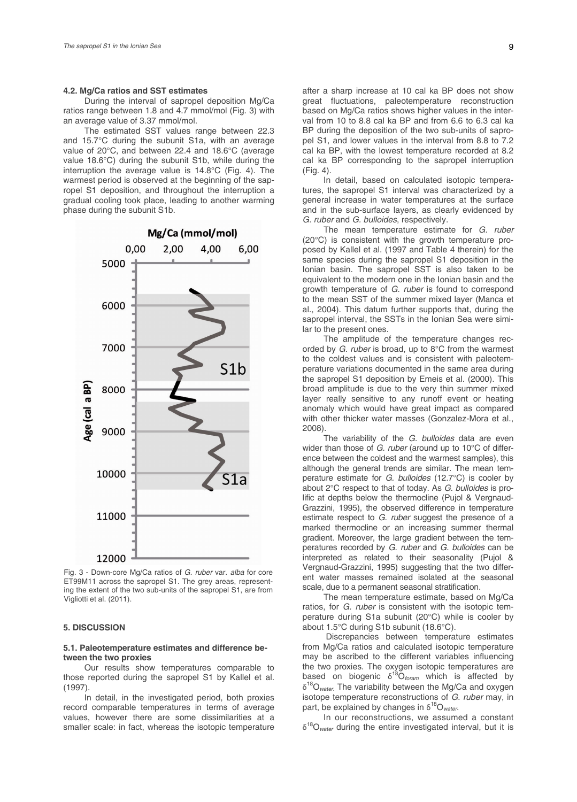## **4.2. Mg/Ca ratios and SST estimates**

During the interval of sapropel deposition Mg/Ca ratios range between 1.8 and 4.7 mmol/mol (Fig. 3) with an average value of 3.37 mmol/mol.

The estimated SST values range between 22.3 and 15.7°C during the subunit S1a, with an average value of 20°C, and between 22.4 and 18.6°C (average value 18.6°C) during the subunit S1b, while during the interruption the average value is 14.8°C (Fig. 4). The warmest period is observed at the beginning of the sapropel S1 deposition, and throughout the interruption a gradual cooling took place, leading to another warming phase during the subunit S1b.



Fig. 3 - Down-core Mg/Ca ratios of *G. ruber* var. *alba* for core ET99M11 across the sapropel S1. The grey areas, representing the extent of the two sub-units of the sapropel S1, are from Vigliotti et al. (2011).

#### **5. DISCUSSION**

### **5.1. Paleotemperature estimates and difference between the two proxies**

Our results show temperatures comparable to those reported during the sapropel S1 by Kallel et al. (1997).

In detail, in the investigated period, both proxies record comparable temperatures in terms of average values, however there are some dissimilarities at a smaller scale: in fact, whereas the isotopic temperature after a sharp increase at 10 cal ka BP does not show great fluctuations, paleotemperature reconstruction based on Mg/Ca ratios shows higher values in the interval from 10 to 8.8 cal ka BP and from 6.6 to 6.3 cal ka BP during the deposition of the two sub-units of sapropel S1, and lower values in the interval from 8.8 to 7.2 cal ka BP, with the lowest temperature recorded at 8.2 cal ka BP corresponding to the sapropel interruption (Fig. 4).

In detail, based on calculated isotopic temperatures, the sapropel S1 interval was characterized by a general increase in water temperatures at the surface and in the sub-surface layers, as clearly evidenced by *G. ruber* and *G. bulloides*, respectively.

The mean temperature estimate for *G. ruber* (20°C) is consistent with the growth temperature proposed by Kallel et al. (1997 and Table 4 therein) for the same species during the sapropel S1 deposition in the Ionian basin. The sapropel SST is also taken to be equivalent to the modern one in the Ionian basin and the growth temperature of *G. ruber* is found to correspond to the mean SST of the summer mixed layer (Manca et al., 2004). This datum further supports that, during the sapropel interval, the SSTs in the Ionian Sea were similar to the present ones.

The amplitude of the temperature changes recorded by *G. ruber* is broad, up to 8°C from the warmest to the coldest values and is consistent with paleotemperature variations documented in the same area during the sapropel S1 deposition by Emeis et al. (2000). This broad amplitude is due to the very thin summer mixed layer really sensitive to any runoff event or heating anomaly which would have great impact as compared with other thicker water masses (Gonzalez-Mora et al., 2008).

The variability of the *G. bulloides* data are even wider than those of *G. ruber* (around up to 10°C of difference between the coldest and the warmest samples), this although the general trends are similar. The mean temperature estimate for *G. bulloides* (12.7°C) is cooler by about 2°C respect to that of today. As *G. bulloides* is prolific at depths below the thermocline (Pujol & Vergnaud-Grazzini, 1995), the observed difference in temperature estimate respect to *G. ruber* suggest the presence of a marked thermocline or an increasing summer thermal gradient. Moreover, the large gradient between the temperatures recorded by *G. ruber* and *G. bulloides* can be interpreted as related to their seasonality (Pujol & Vergnaud-Grazzini, 1995) suggesting that the two different water masses remained isolated at the seasonal scale, due to a permanent seasonal stratification.

The mean temperature estimate, based on Mg/Ca ratios, for *G. ruber* is consistent with the isotopic temperature during S1a subunit (20°C) while is cooler by about 1.5°C during S1b subunit (18.6°C).

 Discrepancies between temperature estimates from Mg/Ca ratios and calculated isotopic temperature may be ascribed to the different variables influencing the two proxies. The oxygen isotopic temperatures are based on biogenic  $\delta^{18}O_{\text{foram}}$  which is affected by δ18O*water*. The variability between the Mg/Ca and oxygen isotope temperature reconstructions of *G. ruber* may, in part, be explained by changes in  $\delta^{18}O_{\text{water}}$ .

In our reconstructions, we assumed a constant δ18O*water* during the entire investigated interval, but it is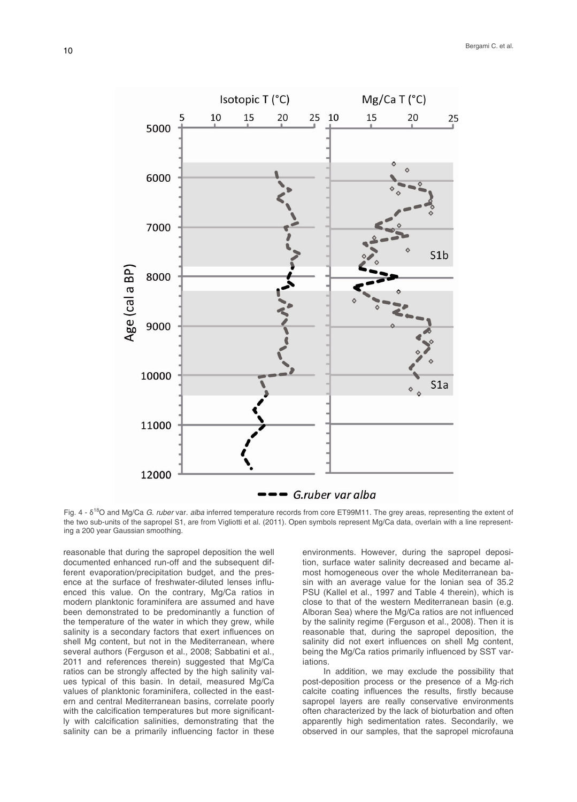

Fig. 4 - δ18O and Mg/Ca *G. ruber* var. *alba* inferred temperature records from core ET99M11. The grey areas, representing the extent of the two sub-units of the sapropel S1, are from Vigliotti et al. (2011). Open symbols represent Mg/Ca data, overlain with a line representing a 200 year Gaussian smoothing.

reasonable that during the sapropel deposition the well documented enhanced run-off and the subsequent different evaporation/precipitation budget, and the presence at the surface of freshwater-diluted lenses influenced this value. On the contrary, Mg/Ca ratios in modern planktonic foraminifera are assumed and have been demonstrated to be predominantly a function of the temperature of the water in which they grew, while salinity is a secondary factors that exert influences on shell Mg content, but not in the Mediterranean, where several authors (Ferguson et al., 2008; Sabbatini et al., 2011 and references therein) suggested that Mg/Ca ratios can be strongly affected by the high salinity values typical of this basin. In detail, measured Mg/Ca values of planktonic foraminifera, collected in the eastern and central Mediterranean basins, correlate poorly with the calcification temperatures but more significantly with calcification salinities, demonstrating that the salinity can be a primarily influencing factor in these

environments. However, during the sapropel deposition, surface water salinity decreased and became almost homogeneous over the whole Mediterranean basin with an average value for the Ionian sea of 35.2 PSU (Kallel et al., 1997 and Table 4 therein), which is close to that of the western Mediterranean basin (e.g. Alboran Sea) where the Mg/Ca ratios are not influenced by the salinity regime (Ferguson et al., 2008). Then it is reasonable that, during the sapropel deposition, the salinity did not exert influences on shell Mg content, being the Mg/Ca ratios primarily influenced by SST variations.

In addition, we may exclude the possibility that post-deposition process or the presence of a Mg-rich calcite coating influences the results, firstly because sapropel layers are really conservative environments often characterized by the lack of bioturbation and often apparently high sedimentation rates. Secondarily, we observed in our samples, that the sapropel microfauna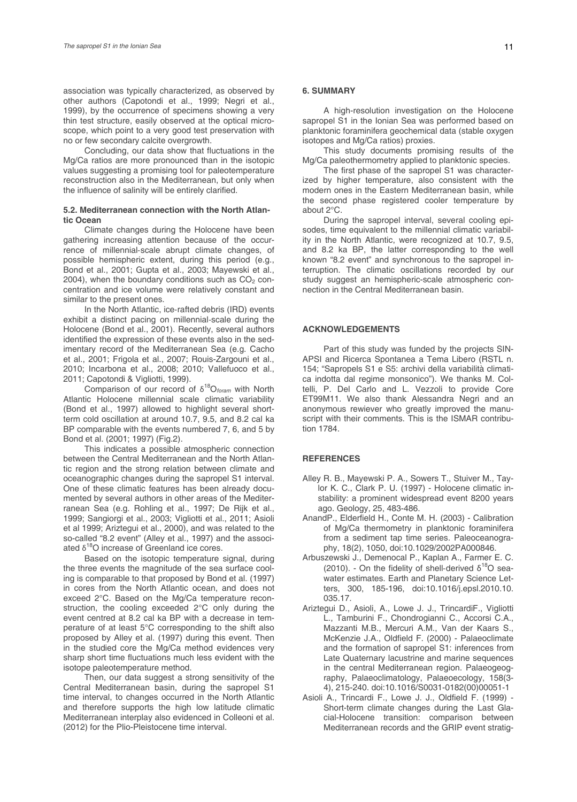association was typically characterized, as observed by other authors (Capotondi et al., 1999; Negri et al., 1999), by the occurrence of specimens showing a very thin test structure, easily observed at the optical microscope, which point to a very good test preservation with no or few secondary calcite overgrowth.

Concluding, our data show that fluctuations in the Mg/Ca ratios are more pronounced than in the isotopic values suggesting a promising tool for paleotemperature reconstruction also in the Mediterranean, but only when the influence of salinity will be entirely clarified.

#### **5.2. Mediterranean connection with the North Atlantic Ocean**

Climate changes during the Holocene have been gathering increasing attention because of the occurrence of millennial‐scale abrupt climate changes, of possible hemispheric extent, during this period (e.g., Bond et al., 2001; Gupta et al., 2003; Mayewski et al., 2004), when the boundary conditions such as  $CO<sub>2</sub>$  concentration and ice volume were relatively constant and similar to the present ones.

In the North Atlantic, ice-rafted debris (IRD) events exhibit a distinct pacing on millennial‐scale during the Holocene (Bond et al., 2001). Recently, several authors identified the expression of these events also in the sedimentary record of the Mediterranean Sea (e.g. Cacho et al., 2001; Frigola et al., 2007; Rouis-Zargouni et al., 2010; Incarbona et al., 2008; 2010; Vallefuoco et al., 2011; Capotondi & Vigliotti, 1999).

Comparison of our record of δ18O*foram* with North Atlantic Holocene millennial scale climatic variability (Bond et al., 1997) allowed to highlight several shortterm cold oscillation at around 10.7, 9.5, and 8.2 cal ka BP comparable with the events numbered 7, 6, and 5 by Bond et al. (2001; 1997) (Fig.2).

This indicates a possible atmospheric connection between the Central Mediterranean and the North Atlantic region and the strong relation between climate and oceanographic changes during the sapropel S1 interval. One of these climatic features has been already documented by several authors in other areas of the Mediterranean Sea (e.g. Rohling et al., 1997; De Rijk et al., 1999; Sangiorgi et al., 2003; Vigliotti et al., 2011; Asioli et al 1999; Ariztegui et al., 2000), and was related to the so-called "8.2 event" (Alley et al., 1997) and the associated  $\delta^{18}$ O increase of Greenland ice cores.

Based on the isotopic temperature signal, during the three events the magnitude of the sea surface cooling is comparable to that proposed by Bond et al. (1997) in cores from the North Atlantic ocean, and does not exceed 2°C. Based on the Mg/Ca temperature reconstruction, the cooling exceeded 2°C only during the event centred at 8.2 cal ka BP with a decrease in temperature of at least 5°C corresponding to the shift also proposed by Alley et al. (1997) during this event. Then in the studied core the Mg/Ca method evidences very sharp short time fluctuations much less evident with the isotope paleotemperature method.

Then, our data suggest a strong sensitivity of the Central Mediterranean basin, during the sapropel S1 time interval, to changes occurred in the North Atlantic and therefore supports the high low latitude climatic Mediterranean interplay also evidenced in Colleoni et al. (2012) for the Plio-Pleistocene time interval.

## **6. SUMMARY**

A high-resolution investigation on the Holocene sapropel S1 in the Ionian Sea was performed based on planktonic foraminifera geochemical data (stable oxygen isotopes and Mg/Ca ratios) proxies.

This study documents promising results of the Mg/Ca paleothermometry applied to planktonic species.

The first phase of the sapropel S1 was characterized by higher temperature, also consistent with the modern ones in the Eastern Mediterranean basin, while the second phase registered cooler temperature by about 2°C.

During the sapropel interval, several cooling episodes, time equivalent to the millennial climatic variability in the North Atlantic, were recognized at 10.7, 9.5, and 8.2 ka BP, the latter corresponding to the well known "8.2 event" and synchronous to the sapropel interruption. The climatic oscillations recorded by our study suggest an hemispheric-scale atmospheric connection in the Central Mediterranean basin.

## **ACKNOWLEDGEMENTS**

Part of this study was funded by the projects SIN-APSI and Ricerca Spontanea a Tema Libero (RSTL n. 154; "Sapropels S1 e S5: archivi della variabilità climatica indotta dal regime monsonico"). We thanks M. Coltelli, P. Del Carlo and L. Vezzoli to provide Core ET99M11. We also thank Alessandra Negri and an anonymous rewiever who greatly improved the manuscript with their comments. This is the ISMAR contribution 1784.

#### **REFERENCES**

- Alley R. B., Mayewski P. A., Sowers T., Stuiver M., Taylor K. C., Clark P. U. (1997) - Holocene climatic instability: a prominent widespread event 8200 years ago. Geology, 25, 483-486.
- AnandP., Elderfield H., Conte M. H. (2003) Calibration of Mg/Ca thermometry in planktonic foraminifera from a sediment tap time series. Paleoceanography, 18(2), 1050, doi:10.1029/2002PA000846.
- Arbuszewski J., Demenocal P., Kaplan A., Farmer E. C. (2010). - On the fidelity of shell-derived  $\delta^{18}$ O seawater estimates. Earth and Planetary Science Letters, 300, 185-196, doi:10.1016/j.epsl.2010.10. 035.17.
- Ariztegui D., Asioli, A., Lowe J. J., TrincardiF., Vigliotti L., Tamburini F., Chondrogianni C., Accorsi C.A., Mazzanti M.B., Mercuri A.M., Van der Kaars S., McKenzie J.A., Oldfield F. (2000) - Palaeoclimate and the formation of sapropel S1: inferences from Late Quaternary lacustrine and marine sequences in the central Mediterranean region. Palaeogeography, Palaeoclimatology, Palaeoecology, 158(3- 4), 215-240. doi:10.1016/S0031-0182(00)00051-1
- Asioli A., Trincardi F., Lowe J. J., Oldfield F. (1999) Short-term climate changes during the Last Glacial-Holocene transition: comparison between Mediterranean records and the GRIP event stratig-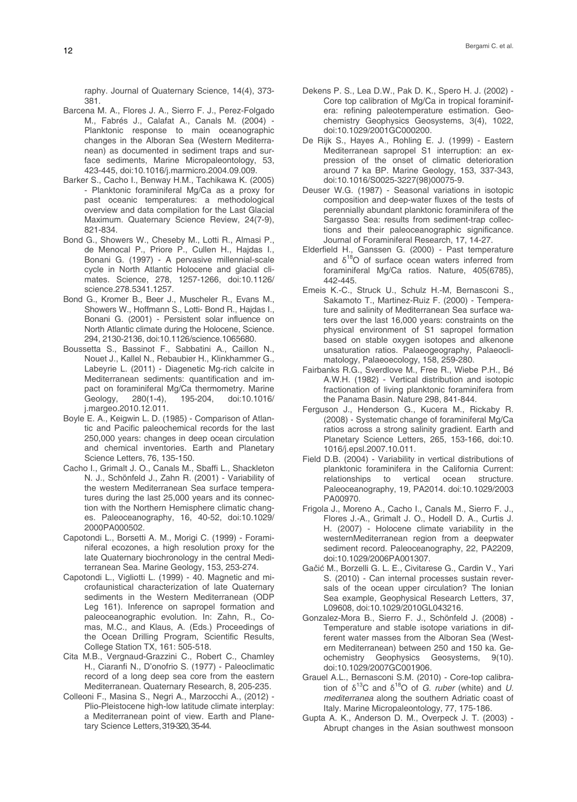raphy. Journal of Quaternary Science, 14(4), 373- 381.

- Barcena M. A., Flores J. A., Sierro F. J., Perez-Folgado M., Fabrés J., Calafat A., Canals M. (2004) - Planktonic response to main oceanographic changes in the Alboran Sea (Western Mediterranean) as documented in sediment traps and surface sediments, Marine Micropaleontology, 53, 423-445, doi:10.1016/j.marmicro.2004.09.009.
- Barker S., Cacho I., Benway H.M., Tachikawa K. (2005) - Planktonic foraminiferal Mg/Ca as a proxy for past oceanic temperatures: a methodological overview and data compilation for the Last Glacial Maximum. Quaternary Science Review, 24(7-9), 821-834.
- Bond G., Showers W., Cheseby M., Lotti R., Almasi P., de Menocal P., Priore P., Cullen H., Hajdas I., Bonani G. (1997) - A pervasive millennial-scale cycle in North Atlantic Holocene and glacial climates. Science, 278, 1257-1266, doi:10.1126/ science.278.5341.1257.
- Bond G., Kromer B., Beer J., Muscheler R., Evans M., Showers W., Hoffmann S., Lotti- Bond R., Hajdas I., Bonani G. (2001) - Persistent solar influence on North Atlantic climate during the Holocene, Science. 294, 2130-2136, doi:10.1126/science.1065680.
- Boussetta S., Bassinot F., Sabbatini A., Caillon N., Nouet J., Kallel N., Rebaubier H., Klinkhammer G., Labeyrie L. (2011) - Diagenetic Mg‐rich calcite in Mediterranean sediments: quantification and impact on foraminiferal Mg/Ca thermometry. Marine Geology, 280(1-4), 195-204, doi:10.1016/ j.margeo.2010.12.011.
- Boyle E. A., Keigwin L. D. (1985) Comparison of Atlantic and Pacific paleochemical records for the last 250,000 years: changes in deep ocean circulation and chemical inventories. Earth and Planetary Science Letters, 76, 135-150.
- Cacho I., Grimalt J. O., Canals M., Sbaffi L., Shackleton N. J., Schönfeld J., Zahn R. (2001) - Variability of the western Mediterranean Sea surface temperatures during the last 25,000 years and its connection with the Northern Hemisphere climatic changes. Paleoceanography, 16, 40-52, doi:10.1029/ 2000PA000502.
- Capotondi L., Borsetti A. M., Morigi C. (1999) Foraminiferal ecozones, a high resolution proxy for the late Quaternary biochronology in the central Mediterranean Sea. Marine Geology, 153, 253-274.
- Capotondi L., Vigliotti L. (1999) 40. Magnetic and microfaunistical characterization of late Quaternary sediments in the Western Mediterranean (ODP Leg 161). Inference on sapropel formation and paleoceanographic evolution. In: Zahn, R., Comas, M.C., and Klaus, A. (Eds.) Proceedings of the Ocean Drilling Program, Scientific Results, College Station TX, 161: 505-518.
- Cita M.B., Vergnaud-Grazzini C., Robert C., Chamley H., Ciaranfi N., D'onofrio S. (1977) - Paleoclimatic record of a long deep sea core from the eastern Mediterranean. Quaternary Research, 8, 205-235.
- Colleoni F., Masina S., Negri A., Marzocchi A., (2012) Plio-Pleistocene high-low latitude climate interplay: a Mediterranean point of view. Earth and Planetary Science Letters, 319-320, 35-44.
- Dekens P. S., Lea D.W., Pak D. K., Spero H. J. (2002) Core top calibration of Mg/Ca in tropical foraminifera: refining paleotemperature estimation. Geochemistry Geophysics Geosystems, 3(4), 1022, doi:10.1029/2001GC000200.
- De Rijk S., Hayes A., Rohling E. J. (1999) Eastern Mediterranean sapropel S1 interruption: an expression of the onset of climatic deterioration around 7 ka BP. Marine Geology, 153, 337-343, doi:10.1016/S0025-3227(98)00075-9.
- Deuser W.G. (1987) Seasonal variations in isotopic composition and deep-water fluxes of the tests of perennially abundant planktonic foraminifera of the Sargasso Sea: results from sediment-trap collections and their paleoceanographic significance. Journal of Foraminiferal Research, 17, 14-27.
- Elderfield H., Ganssen G. (2000) Past temperature and  $\delta^{18}O$  of surface ocean waters inferred from foraminiferal Mg/Ca ratios. Nature, 405(6785), 442-445.
- Emeis K.-C., Struck U., Schulz H.-M, Bernasconi S., Sakamoto T., Martinez-Ruiz F. (2000) - Temperature and salinity of Mediterranean Sea surface waters over the last 16,000 years: constraints on the physical environment of S1 sapropel formation based on stable oxygen isotopes and alkenone unsaturation ratios. Palaeogeography, Palaeoclimatology, Palaeoecology, 158, 259-280.
- Fairbanks R.G., Sverdlove M., Free R., Wiebe P.H., Bé A.W.H. (1982) - Vertical distribution and isotopic fractionation of living planktonic foraminifera from the Panama Basin. Nature 298, 841-844.
- Ferguson J., Henderson G., Kucera M., Rickaby R. (2008) - Systematic change of foraminiferal Mg/Ca ratios across a strong salinity gradient. Earth and Planetary Science Letters, 265, 153-166, doi:10. 1016/j.epsl.2007.10.011.
- Field D.B. (2004) Variability in vertical distributions of planktonic foraminifera in the California Current: relationships to vertical ocean structure. Paleoceanography, 19, PA2014. doi:10.1029/2003 PA00970.
- Frigola J., Moreno A., Cacho I., Canals M., Sierro F. J., Flores J.-A., Grimalt J. O., Hodell D. A., Curtis J. H. (2007) - Holocene climate variability in the westernMediterranean region from a deepwater sediment record. Paleoceanography, 22, PA2209, doi:10.1029/2006PA001307.
- Gačić M., Borzelli G. L. E., Civitarese G., Cardin V., Yari S. (2010) - Can internal processes sustain reversals of the ocean upper circulation? The Ionian Sea example, Geophysical Research Letters, 37, L09608, doi:10.1029/2010GL043216.
- Gonzalez-Mora B., Sierro F. J., Schönfeld J. (2008) Temperature and stable isotope variations in different water masses from the Alboran Sea (Western Mediterranean) between 250 and 150 ka. Geochemistry Geophysics Geosystems, 9(10). doi:10.1029/2007GC001906.
- Grauel A.L., Bernasconi S.M. (2010) Core-top calibration of  $\delta^{13}$ C and  $\delta^{18}$ O of *G. ruber* (white) and *U. mediterranea* along the southern Adriatic coast of Italy. Marine Micropaleontology, 77, 175-186.
- Gupta A. K., Anderson D. M., Overpeck J. T. (2003) Abrupt changes in the Asian southwest monsoon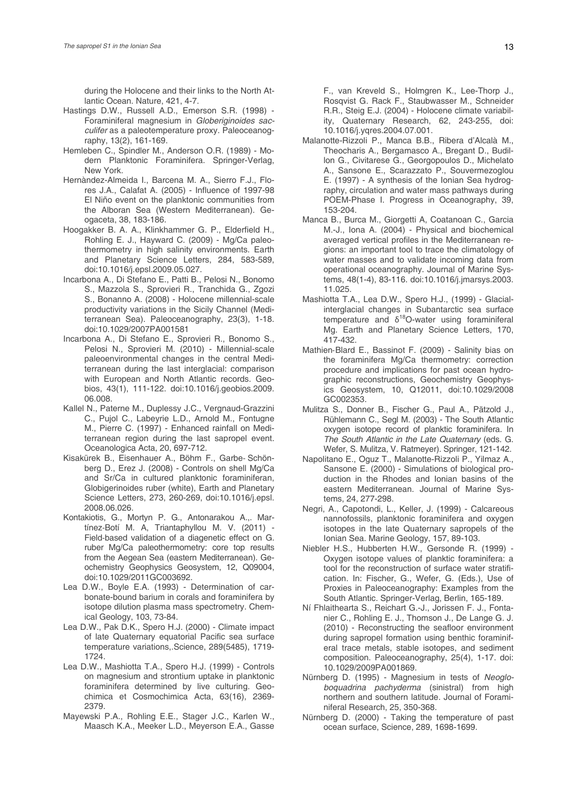during the Holocene and their links to the North Atlantic Ocean. Nature, 421, 4-7.

- Hastings D.W., Russell A.D., Emerson S.R. (1998) Foraminiferal magnesium in *Globeriginoides sacculifer* as a paleotemperature proxy. Paleoceanography, 13(2), 161-169.
- Hemleben C., Spindler M., Anderson O.R. (1989) Modern Planktonic Foraminifera. Springer-Verlag, New York.
- Hernàndez-Almeida I., Barcena M. A., Sierro F.J., Flores J.A., Calafat A. (2005) - Influence of 1997-98 El Niño event on the planktonic communities from the Alboran Sea (Western Mediterranean). Geogaceta, 38, 183-186.
- Hoogakker B. A. A., Klinkhammer G. P., Elderfield H., Rohling E. J., Hayward C. (2009) - Mg/Ca paleothermometry in high salinity environments. Earth and Planetary Science Letters, 284, 583-589, doi:10.1016/j.epsl.2009.05.027.
- Incarbona A., Di Stefano E., Patti B., Pelosi N., Bonomo S., Mazzola S., Sprovieri R., Tranchida G., Zgozi S., Bonanno A. (2008) - Holocene millennial-scale productivity variations in the Sicily Channel (Mediterranean Sea). Paleoceanography, 23(3), 1-18. doi:10.1029/2007PA001581
- Incarbona A., Di Stefano E., Sprovieri R., Bonomo S., Pelosi N., Sprovieri M. (2010) - Millennial-scale paleoenvironmental changes in the central Mediterranean during the last interglacial: comparison with European and North Atlantic records. Geobios, 43(1), 111-122. doi:10.1016/j.geobios.2009. 06.008.
- Kallel N., Paterne M., Duplessy J.C., Vergnaud-Grazzini C., Pujol C., Labeyrie L.D., Arnold M., Fontugne M., Pierre C. (1997) - Enhanced rainfall on Mediterranean region during the last sapropel event. Oceanologica Acta, 20, 697-712.
- Kisakürek B., Eisenhauer A., Böhm F., Garbe‐ Schönberg D., Erez J. (2008) - Controls on shell Mg/Ca and Sr/Ca in cultured planktonic foraminiferan, Globigerinoides ruber (white), Earth and Planetary Science Letters, 273, 260-269, doi:10.1016/j.epsl. 2008.06.026.
- Kontakiotis, G., Mortyn P. G., Antonarakou A.,. Martínez‐Botí M. A, Triantaphyllou M. V. (2011) - Field‐based validation of a diagenetic effect on G. ruber Mg/Ca paleothermometry: core top results from the Aegean Sea (eastern Mediterranean). Geochemistry Geophysics Geosystem, 12, Q09004, doi:10.1029/2011GC003692.
- Lea D.W., Boyle E.A. (1993) Determination of carbonate-bound barium in corals and foraminifera by isotope dilution plasma mass spectrometry. Chemical Geology, 103, 73-84.
- Lea D.W., Pak D.K., Spero H.J. (2000) Climate impact of late Quaternary equatorial Pacific sea surface temperature variations,.Science, 289(5485), 1719- 1724.
- Lea D.W., Mashiotta T.A., Spero H.J. (1999) Controls on magnesium and strontium uptake in planktonic foraminifera determined by live culturing. Geochimica et Cosmochimica Acta, 63(16), 2369- 2379.
- Mayewski P.A., Rohling E.E., Stager J.C., Karlen W., Maasch K.A., Meeker L.D., Meyerson E.A., Gasse

F., van Kreveld S., Holmgren K., Lee-Thorp J., Rosqvist G. Rack F., Staubwasser M., Schneider R.R., Steig E.J. (2004) - Holocene climate variability, Quaternary Research, 62, 243-255, doi: 10.1016/j.yqres.2004.07.001.

- Malanotte-Rizzoli P., Manca B.B., Ribera d'Alcalà M., Theocharis A., Bergamasco A., Bregant D., Budillon G., Civitarese G., Georgopoulos D., Michelato A., Sansone E., Scarazzato P., Souvermezoglou E. (1997) - A synthesis of the Ionian Sea hydrography, circulation and water mass pathways during POEM-Phase I. Progress in Oceanography, 39, 153-204.
- Manca B., Burca M., Giorgetti A, Coatanoan C., Garcia M.-J., Iona A. (2004) - Physical and biochemical averaged vertical profiles in the Mediterranean regions: an important tool to trace the climatology of water masses and to validate incoming data from operational oceanography. Journal of Marine Systems, 48(1-4), 83-116. doi:10.1016/j.jmarsys.2003. 11.025.
- Mashiotta T.A., Lea D.W., Spero H.J., (1999) Glacialinterglacial changes in Subantarctic sea surface temperature and  $\delta^{18}$ O-water using foraminiferal Mg. Earth and Planetary Science Letters, 170, 417-432.
- Mathien‐Blard E., Bassinot F. (2009) Salinity bias on the foraminifera Mg/Ca thermometry: correction procedure and implications for past ocean hydrographic reconstructions, Geochemistry Geophysics Geosystem, 10, Q12011, doi:10.1029/2008 GC002353.
- Mulitza S., Donner B., Fischer G., Paul A., Pätzold J., Rühlemann C., Segl M. (2003) - The South Atlantic oxygen isotope record of planktic foraminifera. In *The South Atlantic in the Late Quaternary* (eds. G. Wefer, S. Mulitza, V. Ratmeyer). Springer, 121-142.
- Napolitano E., Oguz T., Malanotte-Rizzoli P., Yilmaz A., Sansone E. (2000) - Simulations of biological production in the Rhodes and Ionian basins of the eastern Mediterranean. Journal of Marine Systems, 24, 277-298.
- Negri, A., Capotondi, L., Keller, J. (1999) Calcareous nannofossils, planktonic foraminifera and oxygen isotopes in the late Quaternary sapropels of the Ionian Sea. Marine Geology, 157, 89-103.
- Niebler H.S., Hubberten H.W., Gersonde R. (1999) Oxygen isotope values of planktic foraminifera: a tool for the reconstruction of surface water stratification. In: Fischer, G., Wefer, G. (Eds.), Use of Proxies in Paleoceanography: Examples from the South Atlantic. Springer-Verlag, Berlin, 165-189.
- Ní Fhlaithearta S., Reichart G.-J., Jorissen F. J., Fontanier C., Rohling E. J., Thomson J., De Lange G. J. (2010) - Reconstructing the seafloor environment during sapropel formation using benthic foraminiferal trace metals, stable isotopes, and sediment composition. Paleoceanography, 25(4), 1-17. doi: 10.1029/2009PA001869.
- Nürnberg D. (1995) Magnesium in tests of *Neogloboquadrina pachyderma* (sinistral) from high northern and southern latitude. Journal of Foraminiferal Research, 25, 350-368.
- Nürnberg D. (2000) Taking the temperature of past ocean surface, Science, 289, 1698-1699.